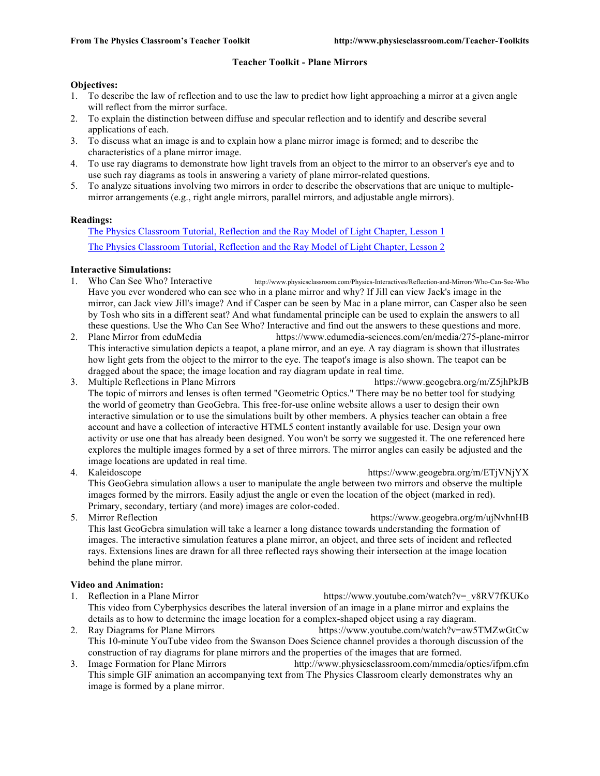### **Teacher Toolkit - Plane Mirrors**

#### **Objectives:**

- 1. To describe the law of reflection and to use the law to predict how light approaching a mirror at a given angle will reflect from the mirror surface.
- 2. To explain the distinction between diffuse and specular reflection and to identify and describe several applications of each.
- 3. To discuss what an image is and to explain how a plane mirror image is formed; and to describe the characteristics of a plane mirror image.
- 4. To use ray diagrams to demonstrate how light travels from an object to the mirror to an observer's eye and to use such ray diagrams as tools in answering a variety of plane mirror-related questions.
- 5. To analyze situations involving two mirrors in order to describe the observations that are unique to multiplemirror arrangements (e.g., right angle mirrors, parallel mirrors, and adjustable angle mirrors).

### **Readings:**

The Physics Classroom Tutorial, Reflection and the Ray Model of Light Chapter, Lesson 1 The Physics Classroom Tutorial, Reflection and the Ray Model of Light Chapter, Lesson 2

### **Interactive Simulations:**

- 1. Who Can See Who? Interactive http://www.physicsclassroom.com/Physics-Interactives/Reflection-and-Mirrors/Who-Can-See-Who Have you ever wondered who can see who in a plane mirror and why? If Jill can view Jack's image in the mirror, can Jack view Jill's image? And if Casper can be seen by Mac in a plane mirror, can Casper also be seen by Tosh who sits in a different seat? And what fundamental principle can be used to explain the answers to all these questions. Use the Who Can See Who? Interactive and find out the answers to these questions and more.
- 2. Plane Mirror from eduMedia https://www.edumedia-sciences.com/en/media/275-plane-mirror This interactive simulation depicts a teapot, a plane mirror, and an eye. A ray diagram is shown that illustrates how light gets from the object to the mirror to the eye. The teapot's image is also shown. The teapot can be dragged about the space; the image location and ray diagram update in real time.
- 3. Multiple Reflections in Plane Mirrors https://www.geogebra.org/m/Z5jhPkJB The topic of mirrors and lenses is often termed "Geometric Optics." There may be no better tool for studying the world of geometry than GeoGebra. This free-for-use online website allows a user to design their own interactive simulation or to use the simulations built by other members. A physics teacher can obtain a free account and have a collection of interactive HTML5 content instantly available for use. Design your own activity or use one that has already been designed. You won't be sorry we suggested it. The one referenced here explores the multiple images formed by a set of three mirrors. The mirror angles can easily be adjusted and the image locations are updated in real time.
- 4. Kaleidoscope https://www.geogebra.org/m/ETjVNjYX This GeoGebra simulation allows a user to manipulate the angle between two mirrors and observe the multiple images formed by the mirrors. Easily adjust the angle or even the location of the object (marked in red). Primary, secondary, tertiary (and more) images are color-coded.
- 5. Mirror Reflection https://www.geogebra.org/m/ujNvhnHB This last GeoGebra simulation will take a learner a long distance towards understanding the formation of images. The interactive simulation features a plane mirror, an object, and three sets of incident and reflected rays. Extensions lines are drawn for all three reflected rays showing their intersection at the image location behind the plane mirror.

#### **Video and Animation:**

- 1. Reflection in a Plane Mirror https://www.youtube.com/watch?v=\_v8RV7fKUKo This video from Cyberphysics describes the lateral inversion of an image in a plane mirror and explains the details as to how to determine the image location for a complex-shaped object using a ray diagram.
- 2. Ray Diagrams for Plane Mirrors https://www.youtube.com/watch?v=aw5TMZwGtCw This 10-minute YouTube video from the Swanson Does Science channel provides a thorough discussion of the construction of ray diagrams for plane mirrors and the properties of the images that are formed.
- 3. Image Formation for Plane Mirrors http://www.physicsclassroom.com/mmedia/optics/ifpm.cfm This simple GIF animation an accompanying text from The Physics Classroom clearly demonstrates why an image is formed by a plane mirror.